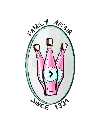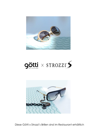





Diese Götti x Strozzi's Brillen sind im Restaurant erhältlich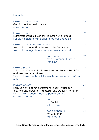## Insalate

| Insalata di erbe miste *<br>Gemischter Kräuter-Blattsalat<br>Mixed herb-salad                                                                                                                    |                                                                                                                            | 15 |
|--------------------------------------------------------------------------------------------------------------------------------------------------------------------------------------------------|----------------------------------------------------------------------------------------------------------------------------|----|
| Insalata caprese<br>Büffelmozzarella mit Datterini-Tomaten und Rucola<br>Buffalo mozzarella with datteri-tomatoes and rocket                                                                     |                                                                                                                            | 19 |
| Insalata di avocado e mango *<br>Avocado, Mango, Limette, Koriander, Trevisano<br>Avocado, mango, lime, coriander, trevisano salad                                                               |                                                                                                                            | 24 |
|                                                                                                                                                                                                  | con tonno<br>mit gebratenem Thunfisch<br>with tuna                                                                         | 32 |
| Insalata Strozzi's *<br>und verschiedenen Nüssen<br>nuts                                                                                                                                         | Saisonale Kräuter-Blattsalate mit frischen Beeren, Fetakäse<br>Seasonal salads with fresh berries, feta cheese and various | 25 |
| Insalata Cesare<br>Baby Lattichsalat mit geröstetem Speck, knusprigen<br>croûtons und gereiftem Parmesan und Datterini-Tomaten<br>Lettuce with bacon, croutons, parmesan and<br>datteri-tomatoes |                                                                                                                            | 24 |
|                                                                                                                                                                                                  | con pollo<br>mit Poulet<br>with chicken                                                                                    | 29 |
|                                                                                                                                                                                                  | con gamberetti<br>mit Crevetten<br>with prawns                                                                             | 34 |

**\* Diese Gerichte sind vegan oder in veganer Ausführung erhältlich**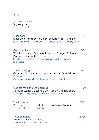# Antipasti

| Zuppa del giorno<br>Tagessuppe<br>Soup of the day                                                                                                                               | 12    |
|---------------------------------------------------------------------------------------------------------------------------------------------------------------------------------|-------|
| Gazpacho<br>Gazpacho, Tomaten, Peperoni, Zwiebeln, Basilikum, Brot<br>Gazpacho with tomatoes, bell pepper, onions, basil, bread                                                 | 15    |
| Ceviche di Branzino<br>Wolfsbarsch, rote Zwiebeln, Tomaten, Yuzugel, Koriander,<br>Platanos (Gemüsebananen)<br>Sea bass, red onions, tomatoes, yuzugel, coriander,<br>plantains | 28/39 |
| Polpo alla griglia<br>Grilliertes Octopusbein mit Wassermelone, Feta, Minze,<br>Limette<br>Grilled octopus with watermelon, feta, mint, lime                                    | 28/39 |
| Capesante con purea di piselli<br>Jakobsmuscheln, Erbsenpüree, Arancini und Himbeere<br>Scallops, pea puree, arancini and raspberry                                             | 29    |
| Vitello tonnato<br>Dünn geschnittener Kalbsbraten an Thunfischsauce<br>Veal roast with tuna sauce,                                                                              | 25/39 |
| Tatar di manzo<br>Rindstatar mit Briochetoast                                                                                                                                   | 29/39 |

Beef steak tatar served with toast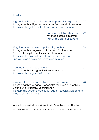Pasta

| Rigatoni fatti in casa, salsa piccante pomodoro e panna<br>Hausgemachte Rigatoni an scharfer Tomaten-Rahm-Sauce<br>Homemade rigatoni, spicy tomato and cream sauce                                                                           |                                                                                               | 27 |
|----------------------------------------------------------------------------------------------------------------------------------------------------------------------------------------------------------------------------------------------|-----------------------------------------------------------------------------------------------|----|
|                                                                                                                                                                                                                                              | con stracciatella di burrata<br>mit stracciatella di burrata<br>with stracciatella di burrata | 29 |
| Linguine fatte in casa alla polpa di granchio<br>Hausgemachte Linguine mit Tomaten, Flusskrebs und<br>Snowcrab an pikanter Proseccorahmsauce<br>Homemade tagliatelle with tomatoes, crayfish and<br>snowcrab on a spicy prosecco cream sauce |                                                                                               | 36 |
| Spaghetti alle vongole veraci<br>Hausgemachte Spaghetti mit Venusmuscheln<br>Homemade spaghetti with clams                                                                                                                                   |                                                                                               | 38 |
| Orecchiette con capperi, limone e fiore di zucca<br>Hausgemachte vegane Orecchiette mit Kapern, Zucchini,<br>Zitrone und frittierten Zucchiniblüten<br>fried zucchini blossoms                                                               | Homemade vegan orecchiette, capers, zucchini, lemon and                                       | 28 |

Alle Pasta sind auch als Vorspeise erhältlich, Preisreduktion von 4 Franken

All our pasta are also available as starter with a price reduction of 4 Francs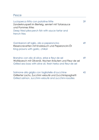## Pesce

| Lucioperca fritto con patatine fritte<br>Zanderknusperli im Bierteig, serviert mit Tatarsauce<br>und Pommes frites<br>Deep fried pike-perch fish with sauce tartar and<br>french fries | 39 |
|----------------------------------------------------------------------------------------------------------------------------------------------------------------------------------------|----|
| Gamberoni all'aglio, olio e peperoncino<br>Riesencrevetten mit Knoblauch und Peperoncini-Öl<br>King prawns with garlic, chilioil                                                       | 49 |
| Branzino con olio di oliva, erbe e fleur de sel<br>Wolfsbarsch mit Olivenöl, frischen Kräutern und Fleur de sel<br>Grilled sea bass with olive oil, fresh herbs and fleur de sel       | 49 |
| Salmone alla griglia con tagliatelle di zucchine<br>Grillierter Lachs, Zucchini velouté und Zucchinispaghetti<br>Grilled salmon, zucchini-velouté and zucchini-noodles                 | 45 |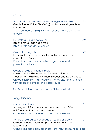#### Carne

Tagliata di manzo con rucola e parmigiano vecchio 52 Geschnittenes Entrecôte (180 g) mit Rucola und gereiftem Parmesan Sliced entrecôte (180 g) with rocket and mature parmesan cheese La Costata 150 gr oder 250 gr  $\frac{42}{62}$ Rib-eye mit Beilage nach Wahl Rib-eye with side dish of choice Costolette d'agnello 49 Lammracks mit scharfer Kräuter-Knoblauchsauce und pimientos de Padrón Rack of lamb on a spicy herb and garlic sauce with pimientos de Padrón Coscia di pollo al limone e miele 38 Pouletschenkel Filet mit Honig-Zitronenmarinade, Stücken von Maiskolben, wildem Broccoli und Tzatziki Sauce Chicken flank filet, marinated with honey and lemon, served with pieces of corncob and tzatziki sauce Surf & Turf: 100 g Hummerschwanz / lobster tail extra 21 **Vegetariano** Melanzane al forno \* 29 Aubergine mit Tomate und Mozzarella aus dem Ofen mit Oregano, Basilikum und Olivenöl Ovenbaked aubergine with tomato and mozzarella Tartare di quinoa con avocado e insalata di erbe \* 28 Quinoa, Avocado, Granatapfel, Feta, Minze, Kerne, Kräutersalat Quinoa, avocado, pomegranate, feta, mint, seeds, herb salad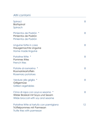## Altri contorni

| Spinaci<br>Blattspinat<br>Spinach                                                                            | 8  |
|--------------------------------------------------------------------------------------------------------------|----|
| Pimientos de Padrón *<br>Pimientos de Padrón<br>Pimientos de Padrón                                          | 8  |
| Linguine fatte in casa<br>Hausgemachte Linguine<br>Home made linguine                                        | 8  |
| Patatine fritte *<br>Pommes frites<br>French fries                                                           | 8  |
| Patate al rosmarino<br>Rosmarinkartoffeln<br>Rosemary potatoes                                               | 8  |
| Verdure alla griglia *<br>Grillgemüse<br><b>Grilled vegetables</b>                                           | 8  |
| Cima di rapa con soya e sesamo *<br>Wilder Brokkoli mit Soya und Sesam<br>Wilde broccoli with soy and sesame | 8  |
| Patatine fritte al tartufo con parmigiano<br>Trüffelpommes mit Parmesan<br>Trufle fries with parmesan        | 12 |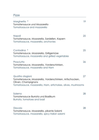### Pizze

| Margherita *<br>Tomatensauce und Mozzarella<br>Tomatosauce and mozzarella                                                                                         | 19 |
|-------------------------------------------------------------------------------------------------------------------------------------------------------------------|----|
| Napoli<br>Tomatensauce, Mozzarella, Sardellen, Kapern<br>Tomatosauce, mozzarella, anchovies                                                                       | 25 |
| Contadina *<br>Tomatensauce, Mozzarella, Grillgemüse<br>Tomatosauce, mozzarella and grilled vegetables                                                            | 25 |
| Prosciutto<br>Tomatensauce, Mozzarella, Vorderschinken,<br>Tomatosauce, mozzarella and Ham                                                                        | 26 |
| Quattro stagioni<br>Tomatensauce, Mozzarella, Vorderschinken, Artischocken,<br>Oliven, Champignons<br>Tomatosauce, mozzarella, Ham, artichokes, olives, mushrooms | 27 |
| Salerno<br>Tomatensauce Burrata und Basilikum<br>Burrata, tomatoes and basil                                                                                      | 28 |
| Diavola<br>Tomatensauce, Mozzarella, pikante Salami<br>Tomatosauce, mozzarella, spicy italian salami                                                              | 28 |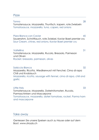#### Pizze

Tonno 28 Tomatensauce, Mozzarella, Thunfisch, kapern, rote Zwiebeln Tomatosauce, mozzarella, tuna, capers, red onions

Pizza Bianca con Caviar **45** Sauerrahm, Schnittlauch, rote Zwiebel, Kaviar Baeri premier cru Sour Cream, chives, red onions, Kaviar Baeri premier cru

#### Valtellina 31

Tomatensauce, Mozzarella, Rucola, Bresaola, Parmesan und Oliven Rocket, bresaola, parmesan, olives

Salsiccia Bianca 32

Mozzarella, Ricotta, Wiedikerwurst mit Fenchel, Cima di rapa Chili und Knoblauch Mozzarella, ricotta, sausage with fennel, cima di rapa, chili and garlic

Little Italy 33 Tomatensauce, Mozzarella, Daterinitomaten, Rucola, Parmaschinken und Mascarpone Tomatosauce, mozzarella, dateri tomatoes, rocket, Parma ham and mascarpone

#### Take away

Geniessen Sie unsere Speisen auch zu Hause oder auf dem Boot. www.strozzis.ch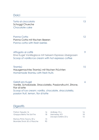# Dolci

| Torta al cioccolato<br>Schoggi Chueche<br>Chocolate cake                                                                                                                                           | 13 |
|----------------------------------------------------------------------------------------------------------------------------------------------------------------------------------------------------|----|
| Panna Cotta<br>Panna Cotta mit frischen Beeren<br>Panna cotta with fresh berries                                                                                                                   | 12 |
| Affogato al caffè<br>Eine Kugel Vanilleglace mit heissem Espresso übergossen<br>Scoop of vanilla ice cream with hot espresso coffee                                                                | 9  |
| Tiramisú<br>Hausgemachtes Tiramisú mit frischen Früchten<br>Homemade tiramisu with fresh fruits                                                                                                    | 15 |
| Gelati pro Kugel<br>Vanille, Schokolade, Stracciatella, Passionsfrucht, Zitrone,<br>Fior di latte<br>Scoop of ice cream: vanilla, chocolate, stracciatella,<br>passion fruit, lemon, fior di latte | 6  |

## **Digestifs**

| Patron Tequila 16           | 16  | Ardbeg 10 y        | 16  |
|-----------------------------|-----|--------------------|-----|
| Grappa Berta Tre Soli Tre   | 18. | Hennesey XO        | 18  |
|                             |     | Zacapa Solera 23 y | 16. |
| Ramos Pinto Tawny 20 y      | 15  |                    |     |
| Bramble Shots 50 cl Flasche | 9Λ  |                    |     |
|                             |     |                    |     |